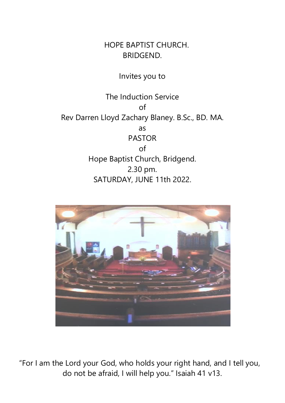HOPE BAPTIST CHURCH. BRIDGEND.

## Invites you to

The Induction Service of Rev Darren Lloyd Zachary Blaney. B.Sc., BD. MA. as PASTOR of Hope Baptist Church, Bridgend. 2.30 pm. SATURDAY, JUNE 11th 2022.



"For I am the Lord your God, who holds your right hand, and I tell you, do not be afraid, I will help you." Isaiah 41 v13.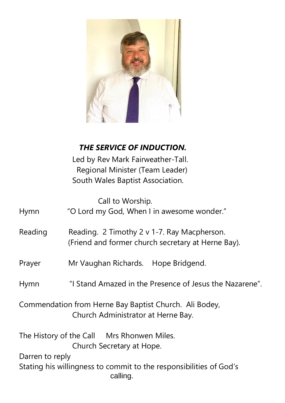

| THE SERVICE OF INDUCTION. |
|---------------------------|
|                           |

 Led by Rev Mark Fairweather-Tall. Regional Minister (Team Leader) South Wales Baptist Association.

Call to Worship.

| <b>Hymn</b>                                                                                  | "O Lord my God, When I in awesome wonder."                                                        |
|----------------------------------------------------------------------------------------------|---------------------------------------------------------------------------------------------------|
| Reading                                                                                      | Reading. 2 Timothy 2 v 1-7. Ray Macpherson.<br>(Friend and former church secretary at Herne Bay). |
| Prayer                                                                                       | Mr Vaughan Richards. Hope Bridgend.                                                               |
| Hymn                                                                                         | "I Stand Amazed in the Presence of Jesus the Nazarene".                                           |
| Commendation from Herne Bay Baptist Church. Ali Bodey,<br>Church Administrator at Herne Bay. |                                                                                                   |
|                                                                                              | The History of the Call Mrs Rhonwen Miles.<br>Church Secretary at Hope.                           |
| Darren to reply                                                                              |                                                                                                   |

Stating his willingness to commit to the responsibilities of God's calling.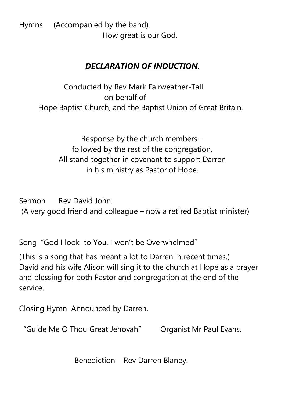Hymns (Accompanied by the band). How great is our God.

## *DECLARATION OF INDUCTION*.

Conducted by Rev Mark Fairweather-Tall on behalf of Hope Baptist Church, and the Baptist Union of Great Britain.

Response by the church members – followed by the rest of the congregation. All stand together in covenant to support Darren in his ministry as Pastor of Hope.

Sermon Rev David John. (A very good friend and colleague – now a retired Baptist minister)

Song "God I look to You. I won't be Overwhelmed"

(This is a song that has meant a lot to Darren in recent times.) David and his wife Alison will sing it to the church at Hope as a prayer and blessing for both Pastor and congregation at the end of the service.

Closing Hymn Announced by Darren.

"Guide Me O Thou Great Jehovah" Organist Mr Paul Evans.

Benediction Rev Darren Blaney.